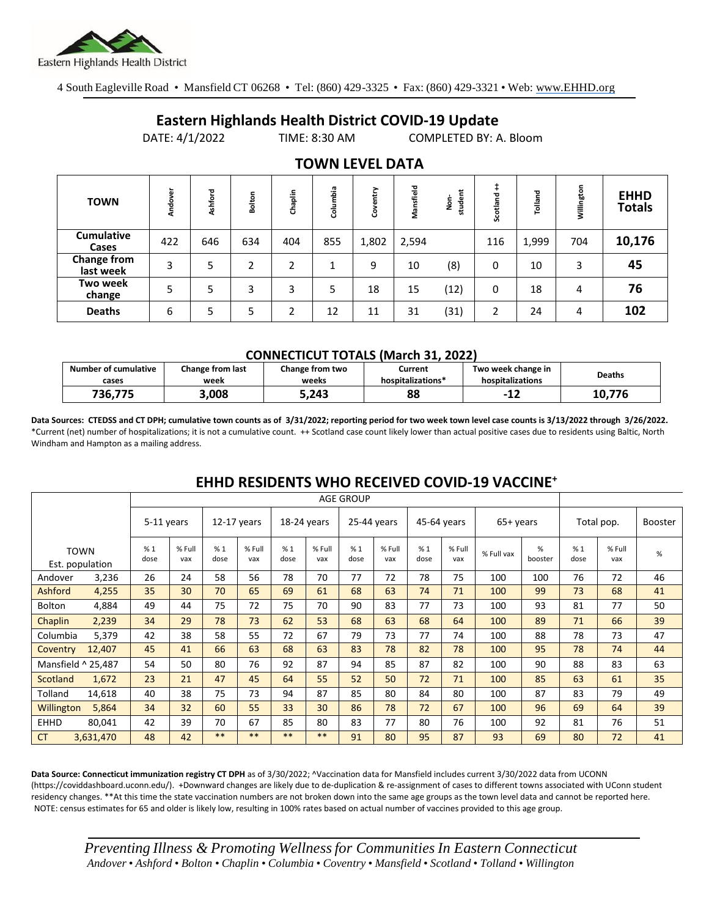

4 South Eagleville Road • Mansfield CT 06268 • Tel: (860) 429-3325 • Fax: (860) 429-3321 • Web: www.EHHD.org

## **Eastern Highlands Health District COVID-19 Update**

DATE: 4/1/2022 TIME: 8:30 AM COMPLETED BY: A. Bloom

| TV <i>.</i>                     |         |         |               |         |          |           |           |                  |          |         |            |                              |
|---------------------------------|---------|---------|---------------|---------|----------|-----------|-----------|------------------|----------|---------|------------|------------------------------|
| <b>TOWN</b>                     | Andover | Ashford | Bolton        | Chaplin | Columbia | htry<br>8 | Mansfield | ᄇ<br>studer<br>å | Scotland | Tolland | Willington | <b>EHHD</b><br><b>Totals</b> |
| <b>Cumulative</b><br>Cases      | 422     | 646     | 634           | 404     | 855      | 1,802     | 2,594     |                  | 116      | 1,999   | 704        | 10,176                       |
| <b>Change from</b><br>last week | 3       | 5       | $\mathcal{D}$ | C       | 1        | 9         | 10        | (8)              | 0        | 10      | 3          | 45                           |
| Two week<br>change              | 5       | 5       | 3             | 3       | 5        | 18        | 15        | (12)             | 0        | 18      | 4          | 76                           |
| <b>Deaths</b>                   | 6       | 5       | 5             | ำ       | 12       | 11        | 31        | (31)             | 2        | 24      | 4          | 102                          |

### **TOWN LEVEL DATA**

#### **CONNECTICUT TOTALS (March 31, 2022)**

| <b>Number of cumulative</b><br>cases | Change from last<br>week | Change from two<br>weeks | Current<br>hospitalizations* | Two week change in<br>hospitalizations | <b>Deaths</b> |
|--------------------------------------|--------------------------|--------------------------|------------------------------|----------------------------------------|---------------|
| 736.775                              | 3,008                    | 5,243                    | 88                           | $-L$                                   | 10.776        |

**Data Sources: CTEDSS and CT DPH; cumulative town counts as of 3/31/2022; reporting period for two week town level case counts is 3/13/2022 through 3/26/2022.** \*Current (net) number of hospitalizations; it is not a cumulative count. ++ Scotland case count likely lower than actual positive cases due to residents using Baltic, North Windham and Hampton as a mailing address.

|             |                                | <b>AGE GROUP</b> |               |               |               |             |               |             |               |             |               |            |              |            |               |                |
|-------------|--------------------------------|------------------|---------------|---------------|---------------|-------------|---------------|-------------|---------------|-------------|---------------|------------|--------------|------------|---------------|----------------|
|             |                                | 5-11 years       |               | $12-17$ years |               | 18-24 years |               | 25-44 years |               | 45-64 years |               | 65+ years  |              | Total pop. |               | <b>Booster</b> |
|             | <b>TOWN</b><br>Est. population | %1<br>dose       | % Full<br>vax | %1<br>dose    | % Full<br>vax | %1<br>dose  | % Full<br>vax | %1<br>dose  | % Full<br>vax | %1<br>dose  | % Full<br>vax | % Full vax | %<br>booster | %1<br>dose | % Full<br>vax | %              |
| Andover     | 3,236                          | 26               | 24            | 58            | 56            | 78          | 70            | 77          | 72            | 78          | 75            | 100        | 100          | 76         | 72            | 46             |
| Ashford     | 4,255                          | 35               | 30            | 70            | 65            | 69          | 61            | 68          | 63            | 74          | 71            | 100        | 99           | 73         | 68            | 41             |
| Bolton      | 4,884                          | 49               | 44            | 75            | 72            | 75          | 70            | 90          | 83            | 77          | 73            | 100        | 93           | 81         | 77            | 50             |
| Chaplin     | 2,239                          | 34               | 29            | 78            | 73            | 62          | 53            | 68          | 63            | 68          | 64            | 100        | 89           | 71         | 66            | 39             |
| Columbia    | 5,379                          | 42               | 38            | 58            | 55            | 72          | 67            | 79          | 73            | 77          | 74            | 100        | 88           | 78         | 73            | 47             |
| Coventry    | 12,407                         | 45               | 41            | 66            | 63            | 68          | 63            | 83          | 78            | 82          | 78            | 100        | 95           | 78         | 74            | 44             |
|             | Mansfield ^ 25,487             | 54               | 50            | 80            | 76            | 92          | 87            | 94          | 85            | 87          | 82            | 100        | 90           | 88         | 83            | 63             |
| Scotland    | 1,672                          | 23               | 21            | 47            | 45            | 64          | 55            | 52          | 50            | 72          | 71            | 100        | 85           | 63         | 61            | 35             |
| Tolland     | 14,618                         | 40               | 38            | 75            | 73            | 94          | 87            | 85          | 80            | 84          | 80            | 100        | 87           | 83         | 79            | 49             |
| Willington  | 5,864                          | 34               | 32            | 60            | 55            | 33          | 30            | 86          | 78            | 72          | 67            | 100        | 96           | 69         | 64            | 39             |
| <b>EHHD</b> | 80,041                         | 42               | 39            | 70            | 67            | 85          | 80            | 83          | 77            | 80          | 76            | 100        | 92           | 81         | 76            | 51             |
| <b>CT</b>   | 3,631,470                      | 48               | 42            | $***$         | $***$         | $***$       | **            | 91          | 80            | 95          | 87            | 93         | 69           | 80         | 72            | 41             |

## **EHHD RESIDENTS WHO RECEIVED COVID-19 VACCINE<sup>+</sup>**

**Data Source: Connecticut immunization registry CT DPH** as of 3/30/2022; ^Vaccination data for Mansfield includes current 3/30/2022 data from UCONN (https://coviddashboard.uconn.edu/). +Downward changes are likely due to de-duplication & re-assignment of cases to different towns associated with UConn student residency changes. \*\*At this time the state vaccination numbers are not broken down into the same age groups as the town level data and cannot be reported here. NOTE: census estimates for 65 and older is likely low, resulting in 100% rates based on actual number of vaccines provided to this age group.

*Preventing Illness & Promoting Wellnessfor Communities In Eastern Connecticut* Andover • Ashford • Bolton • Chaplin • Columbia • Coventry • Mansfield • Scotland • Tolland • Willington